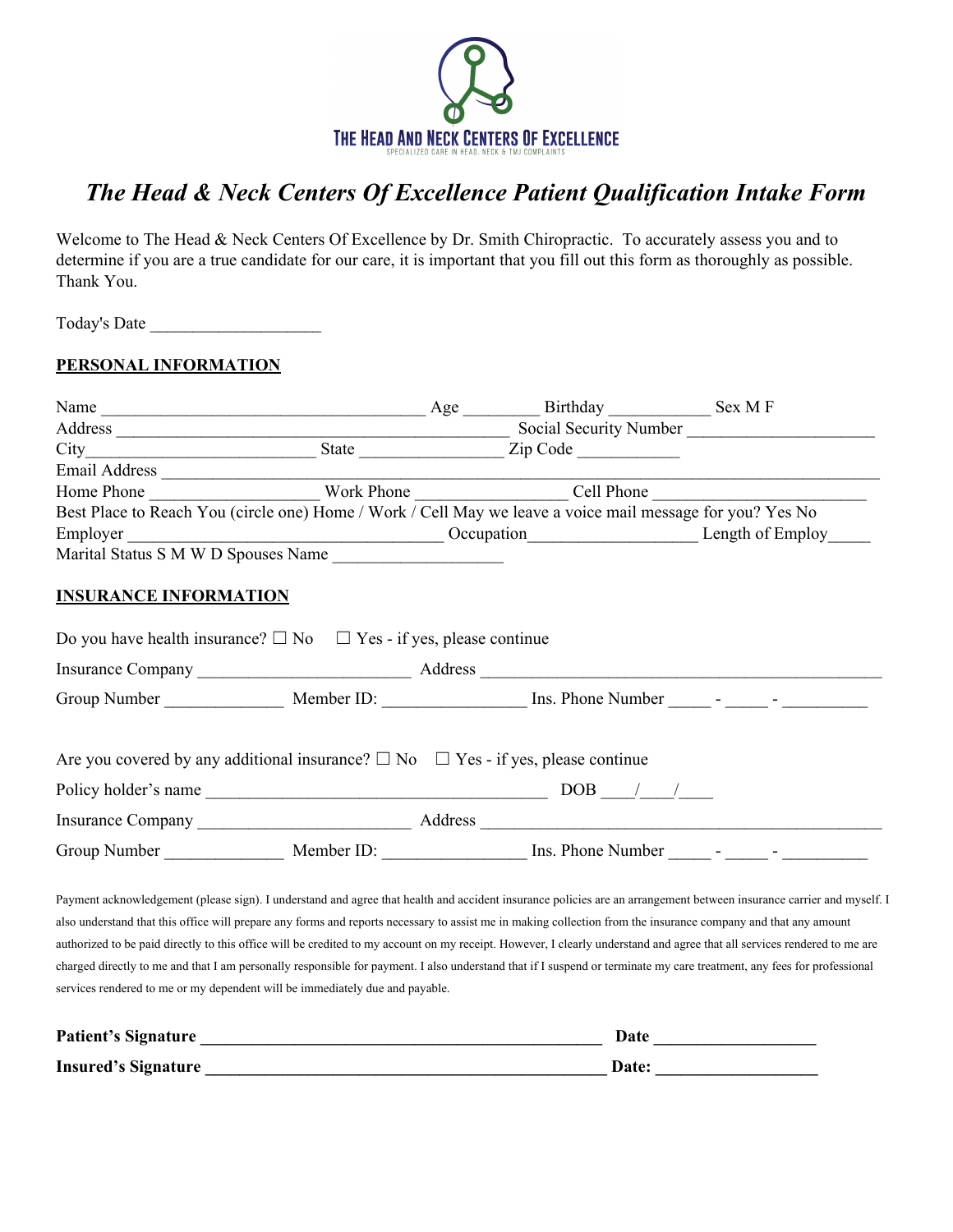

# *The Head & Neck Centers Of Excellence Patient Qualification Intake Form*

Welcome to The Head & Neck Centers Of Excellence by Dr. Smith Chiropractic. To accurately assess you and to determine if you are a true candidate for our care, it is important that you fill out this form as thoroughly as possible. Thank You.

Today's Date \_\_\_\_\_\_\_\_\_\_\_\_\_\_\_\_\_\_\_\_

### **PERSONAL INFORMATION**

| Best Place to Reach You (circle one) Home / Work / Cell May we leave a voice mail message for you? Yes No                                                                                                                                      |  |  |                                                                                                                                                                                                                                                                                                                                                                                                                                                                                                                            |
|------------------------------------------------------------------------------------------------------------------------------------------------------------------------------------------------------------------------------------------------|--|--|----------------------------------------------------------------------------------------------------------------------------------------------------------------------------------------------------------------------------------------------------------------------------------------------------------------------------------------------------------------------------------------------------------------------------------------------------------------------------------------------------------------------------|
|                                                                                                                                                                                                                                                |  |  |                                                                                                                                                                                                                                                                                                                                                                                                                                                                                                                            |
| Marital Status S M W D Spouses Name                                                                                                                                                                                                            |  |  |                                                                                                                                                                                                                                                                                                                                                                                                                                                                                                                            |
| <b>INSURANCE INFORMATION</b>                                                                                                                                                                                                                   |  |  |                                                                                                                                                                                                                                                                                                                                                                                                                                                                                                                            |
| Do you have health insurance? $\square$ No $\square$ Yes - if yes, please continue                                                                                                                                                             |  |  |                                                                                                                                                                                                                                                                                                                                                                                                                                                                                                                            |
|                                                                                                                                                                                                                                                |  |  |                                                                                                                                                                                                                                                                                                                                                                                                                                                                                                                            |
|                                                                                                                                                                                                                                                |  |  |                                                                                                                                                                                                                                                                                                                                                                                                                                                                                                                            |
| Are you covered by any additional insurance? $\Box$ No $\Box$ Yes - if yes, please continue                                                                                                                                                    |  |  |                                                                                                                                                                                                                                                                                                                                                                                                                                                                                                                            |
|                                                                                                                                                                                                                                                |  |  |                                                                                                                                                                                                                                                                                                                                                                                                                                                                                                                            |
|                                                                                                                                                                                                                                                |  |  |                                                                                                                                                                                                                                                                                                                                                                                                                                                                                                                            |
|                                                                                                                                                                                                                                                |  |  |                                                                                                                                                                                                                                                                                                                                                                                                                                                                                                                            |
| also understand that this office will prepare any forms and reports necessary to assist me in making collection from the insurance company and that any amount<br>services rendered to me or my dependent will be immediately due and payable. |  |  | Payment acknowledgement (please sign). I understand and agree that health and accident insurance policies are an arrangement between insurance carrier and myself. I<br>authorized to be paid directly to this office will be credited to my account on my receipt. However, I clearly understand and agree that all services rendered to me are<br>charged directly to me and that I am personally responsible for payment. I also understand that if I suspend or terminate my care treatment, any fees for professional |

| <b>Patient's Signature</b> | Date         |
|----------------------------|--------------|
| <b>Insured's Signature</b> | <b>Date:</b> |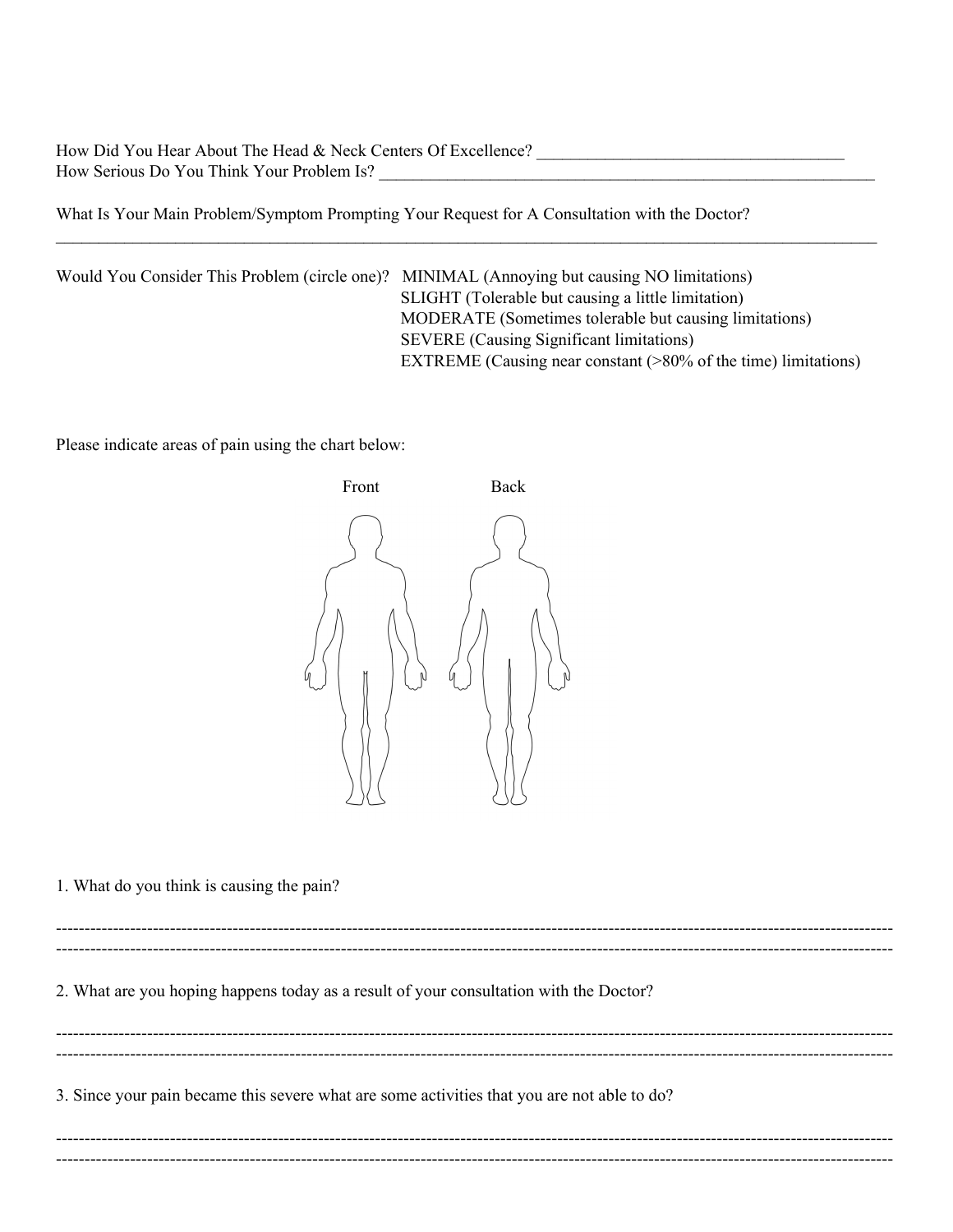How Did You Hear About The Head & Neck Centers Of Excellence? How Serious Do You Think Your Problem Is?

What Is Your Main Problem/Symptom Prompting Your Request for A Consultation with the Doctor?

Would You Consider This Problem (circle one)? MINIMAL (Annoying but causing NO limitations) SLIGHT (Tolerable but causing a little limitation) MODERATE (Sometimes tolerable but causing limitations) SEVERE (Causing Significant limitations) EXTREME (Causing near constant (>80% of the time) limitations)

 $\mathcal{L}_\mathcal{L} = \mathcal{L}_\mathcal{L} = \mathcal{L}_\mathcal{L} = \mathcal{L}_\mathcal{L} = \mathcal{L}_\mathcal{L} = \mathcal{L}_\mathcal{L} = \mathcal{L}_\mathcal{L} = \mathcal{L}_\mathcal{L} = \mathcal{L}_\mathcal{L} = \mathcal{L}_\mathcal{L} = \mathcal{L}_\mathcal{L} = \mathcal{L}_\mathcal{L} = \mathcal{L}_\mathcal{L} = \mathcal{L}_\mathcal{L} = \mathcal{L}_\mathcal{L} = \mathcal{L}_\mathcal{L} = \mathcal{L}_\mathcal{L}$ 

Please indicate areas of pain using the chart below:



1. What do you think is causing the pain?

--------------------------------------------------------------------------------------------------------------------------------------------------- --------------------------------------------------------------------------------------------------------------------------------------------------- 2. What are you hoping happens today as a result of your consultation with the Doctor? --------------------------------------------------------------------------------------------------------------------------------------------------- --------------------------------------------------------------------------------------------------------------------------------------------------- 3. Since your pain became this severe what are some activities that you are not able to do? --------------------------------------------------------------------------------------------------------------------------------------------------- ---------------------------------------------------------------------------------------------------------------------------------------------------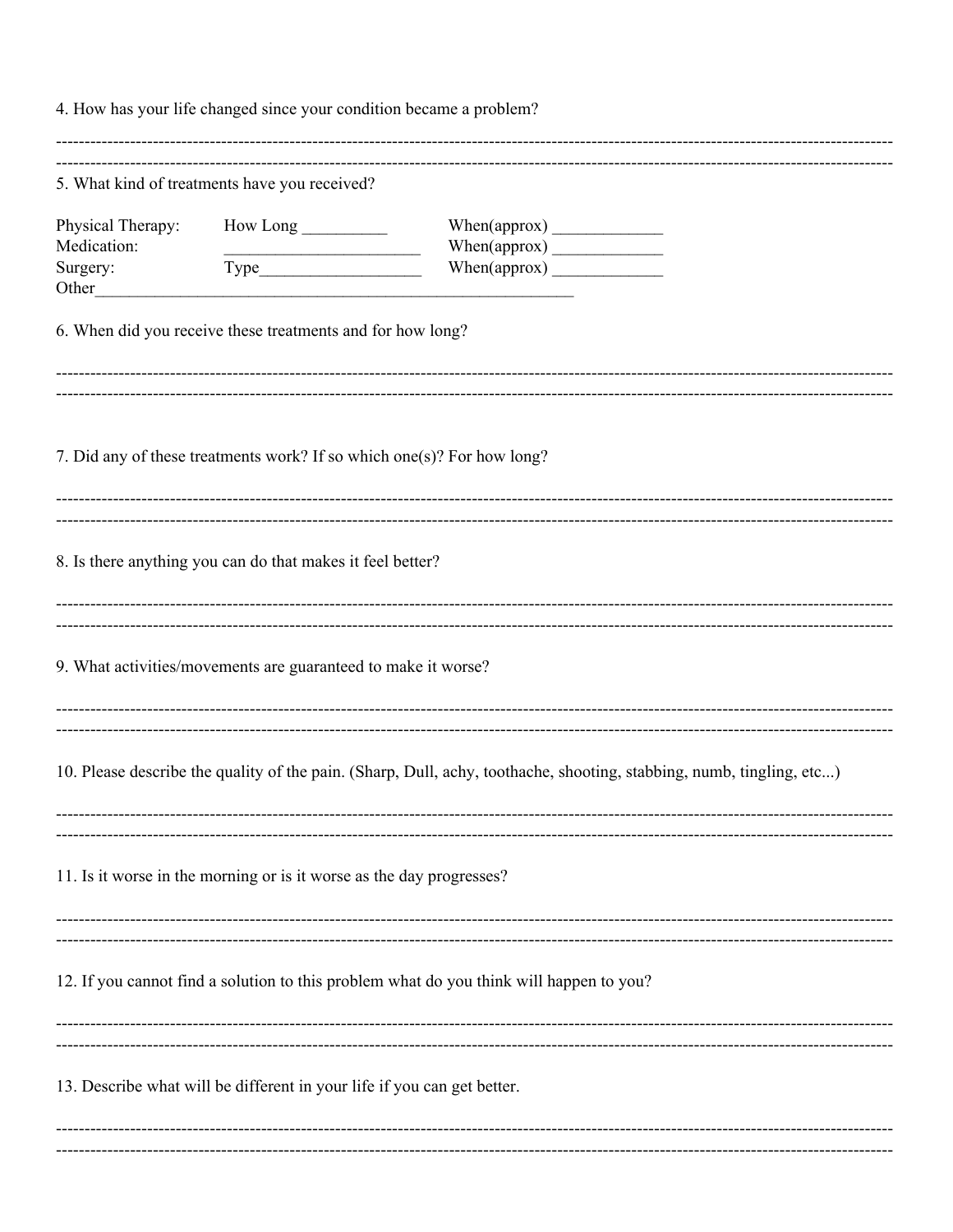4. How has your life changed since your condition became a problem? 5. What kind of treatments have you received?  $How Long \_\_$ Physical Therapy: Medication:  $When (approx)$ Surgery:  $When (approx)$ Other 6. When did you receive these treatments and for how long? 7. Did any of these treatments work? If so which one(s)? For how long? 8. Is there anything you can do that makes it feel better? 9. What activities/movements are guaranteed to make it worse? 10. Please describe the quality of the pain. (Sharp, Dull, achy, toothache, shooting, stabbing, numb, tingling, etc...) 11. Is it worse in the morning or is it worse as the day progresses? 12. If you cannot find a solution to this problem what do you think will happen to you? 13. Describe what will be different in your life if you can get better.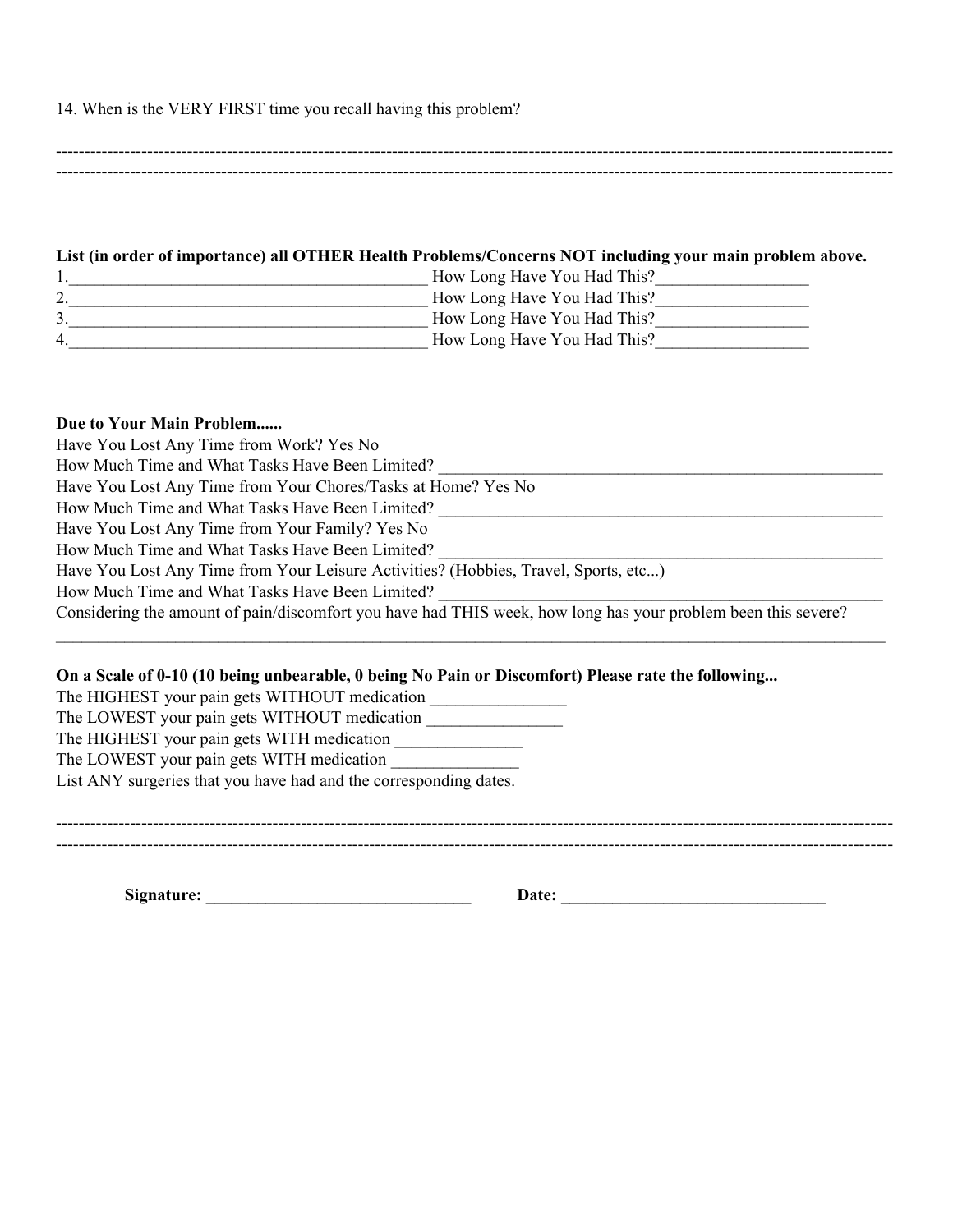### 14. When is the VERY FIRST time you recall having this problem?

--------------------------------------------------------------------------------------------------------------------------------------------------- ---------------------------------------------------------------------------------------------------------------------------------------------------

#### **List (in order of importance) all OTHER Health Problems/Concerns NOT including your main problem above.**

|                | How Long Have You Had This? |
|----------------|-----------------------------|
| ٠.             | How Long Have You Had This? |
|                | How Long Have You Had This? |
| $\overline{4}$ | How Long Have You Had This? |

### **Due to Your Main Problem......**

| Have You Lost Any Time from Work? Yes No                                                                      |
|---------------------------------------------------------------------------------------------------------------|
| How Much Time and What Tasks Have Been Limited?                                                               |
| Have You Lost Any Time from Your Chores/Tasks at Home? Yes No                                                 |
| How Much Time and What Tasks Have Been Limited?                                                               |
| Have You Lost Any Time from Your Family? Yes No                                                               |
| How Much Time and What Tasks Have Been Limited?                                                               |
| Have You Lost Any Time from Your Leisure Activities? (Hobbies, Travel, Sports, etc)                           |
| How Much Time and What Tasks Have Been Limited?                                                               |
| Considering the amount of pain/discomfort you have had THIS week, how long has your problem been this severe? |

 $\mathcal{L}_\mathcal{L} = \mathcal{L}_\mathcal{L} = \mathcal{L}_\mathcal{L} = \mathcal{L}_\mathcal{L} = \mathcal{L}_\mathcal{L} = \mathcal{L}_\mathcal{L} = \mathcal{L}_\mathcal{L} = \mathcal{L}_\mathcal{L} = \mathcal{L}_\mathcal{L} = \mathcal{L}_\mathcal{L} = \mathcal{L}_\mathcal{L} = \mathcal{L}_\mathcal{L} = \mathcal{L}_\mathcal{L} = \mathcal{L}_\mathcal{L} = \mathcal{L}_\mathcal{L} = \mathcal{L}_\mathcal{L} = \mathcal{L}_\mathcal{L}$ 

### On a Scale of 0-10 (10 being unbearable, 0 being No Pain or Discomfort) Please rate the following...

The HIGHEST your pain gets WITHOUT medication \_\_\_\_\_\_\_\_\_\_\_\_\_\_\_\_\_\_\_\_\_\_\_\_\_\_\_\_\_\_\_\_\_\_ The LOWEST your pain gets WITHOUT medication \_\_\_\_\_\_\_\_\_\_\_\_\_\_\_\_\_\_\_\_\_\_\_\_\_\_\_\_\_\_\_\_\_\_\_ The HIGHEST your pain gets WITH medication \_\_\_\_\_\_\_\_\_\_\_\_\_\_\_ The LOWEST your pain gets WITH medication List ANY surgeries that you have had and the corresponding dates.

--------------------------------------------------------------------------------------------------------------------------------------------------- ---------------------------------------------------------------------------------------------------------------------------------------------------

**Signature: \_\_\_\_\_\_\_\_\_\_\_\_\_\_\_\_\_\_\_\_\_\_\_\_\_\_\_\_\_\_\_ Date: \_\_\_\_\_\_\_\_\_\_\_\_\_\_\_\_\_\_\_\_\_\_\_\_\_\_\_\_\_\_\_**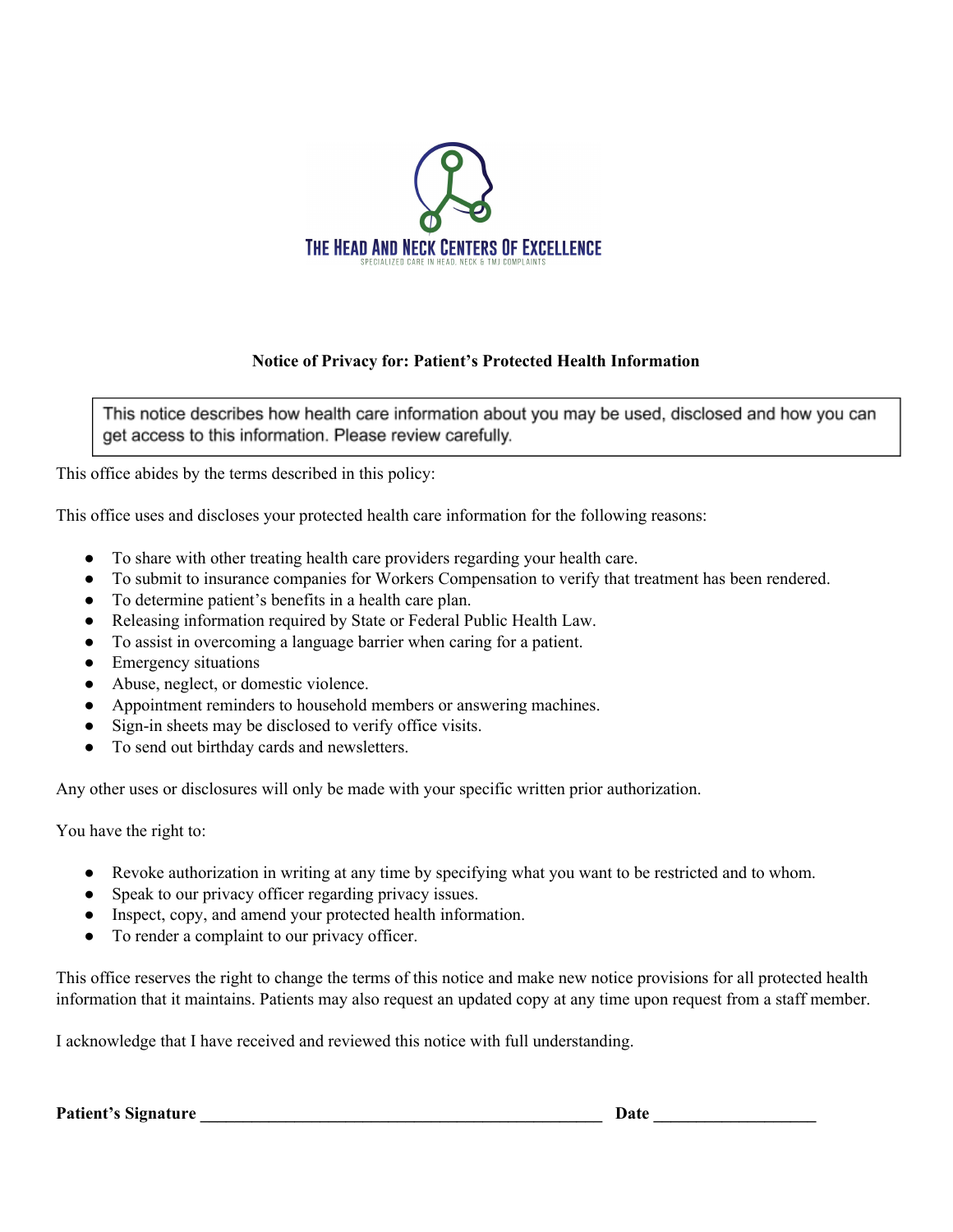

# **Notice of Privacy for: Patient's Protected Health Information**

This notice describes how health care information about you may be used, disclosed and how you can get access to this information. Please review carefully.

This office abides by the terms described in this policy:

This office uses and discloses your protected health care information for the following reasons:

- To share with other treating health care providers regarding your health care.
- To submit to insurance companies for Workers Compensation to verify that treatment has been rendered.
- To determine patient's benefits in a health care plan.
- Releasing information required by State or Federal Public Health Law.
- To assist in overcoming a language barrier when caring for a patient.
- Emergency situations
- Abuse, neglect, or domestic violence.
- Appointment reminders to household members or answering machines.
- Sign-in sheets may be disclosed to verify office visits.
- To send out birthday cards and newsletters.

Any other uses or disclosures will only be made with your specific written prior authorization.

You have the right to:

- Revoke authorization in writing at any time by specifying what you want to be restricted and to whom.
- Speak to our privacy officer regarding privacy issues.
- Inspect, copy, and amend your protected health information.
- To render a complaint to our privacy officer.

This office reserves the right to change the terms of this notice and make new notice provisions for all protected health information that it maintains. Patients may also request an updated copy at any time upon request from a staff member.

I acknowledge that I have received and reviewed this notice with full understanding.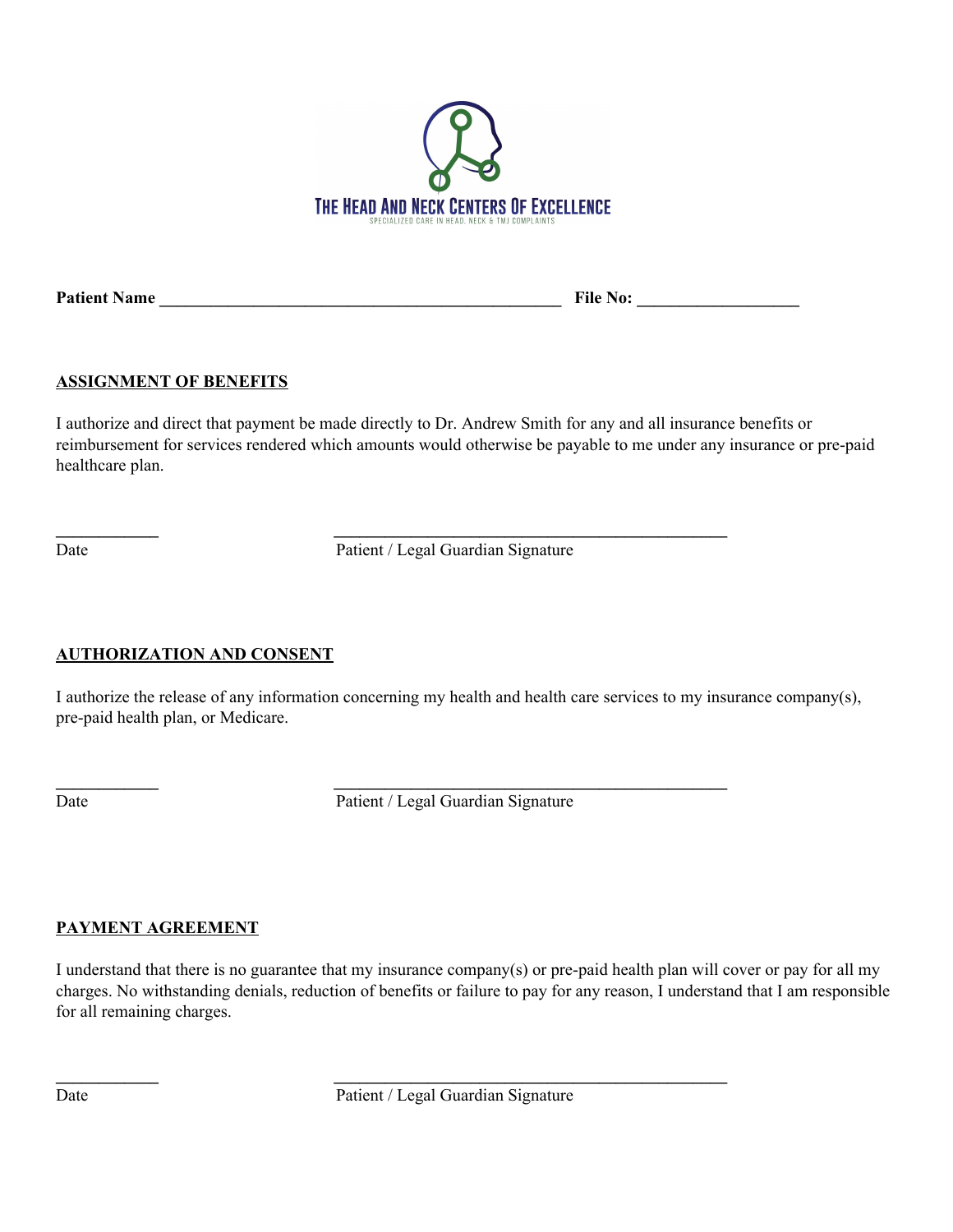

**Patient Name \_\_\_\_\_\_\_\_\_\_\_\_\_\_\_\_\_\_\_\_\_\_\_\_\_\_\_\_\_\_\_\_\_\_\_\_\_\_\_\_\_\_\_\_\_\_\_ File No: \_\_\_\_\_\_\_\_\_\_\_\_\_\_\_\_\_\_\_**

## **ASSIGNMENT OF BENEFITS**

I authorize and direct that payment be made directly to Dr. Andrew Smith for any and all insurance benefits or reimbursement for services rendered which amounts would otherwise be payable to me under any insurance or pre-paid healthcare plan.

Date Patient / Legal Guardian Signature

**\_\_\_\_\_\_\_\_\_\_\_\_ \_\_\_\_\_\_\_\_\_\_\_\_\_\_\_\_\_\_\_\_\_\_\_\_\_\_\_\_\_\_\_\_\_\_\_\_\_\_\_\_\_\_\_\_\_\_**

**\_\_\_\_\_\_\_\_\_\_\_\_ \_\_\_\_\_\_\_\_\_\_\_\_\_\_\_\_\_\_\_\_\_\_\_\_\_\_\_\_\_\_\_\_\_\_\_\_\_\_\_\_\_\_\_\_\_\_**

**\_\_\_\_\_\_\_\_\_\_\_\_ \_\_\_\_\_\_\_\_\_\_\_\_\_\_\_\_\_\_\_\_\_\_\_\_\_\_\_\_\_\_\_\_\_\_\_\_\_\_\_\_\_\_\_\_\_\_**

# **AUTHORIZATION AND CONSENT**

I authorize the release of any information concerning my health and health care services to my insurance company(s), pre-paid health plan, or Medicare.

Date Patient / Legal Guardian Signature

# **PAYMENT AGREEMENT**

I understand that there is no guarantee that my insurance company(s) or pre-paid health plan will cover or pay for all my charges. No withstanding denials, reduction of benefits or failure to pay for any reason, I understand that I am responsible for all remaining charges.

Date Patient / Legal Guardian Signature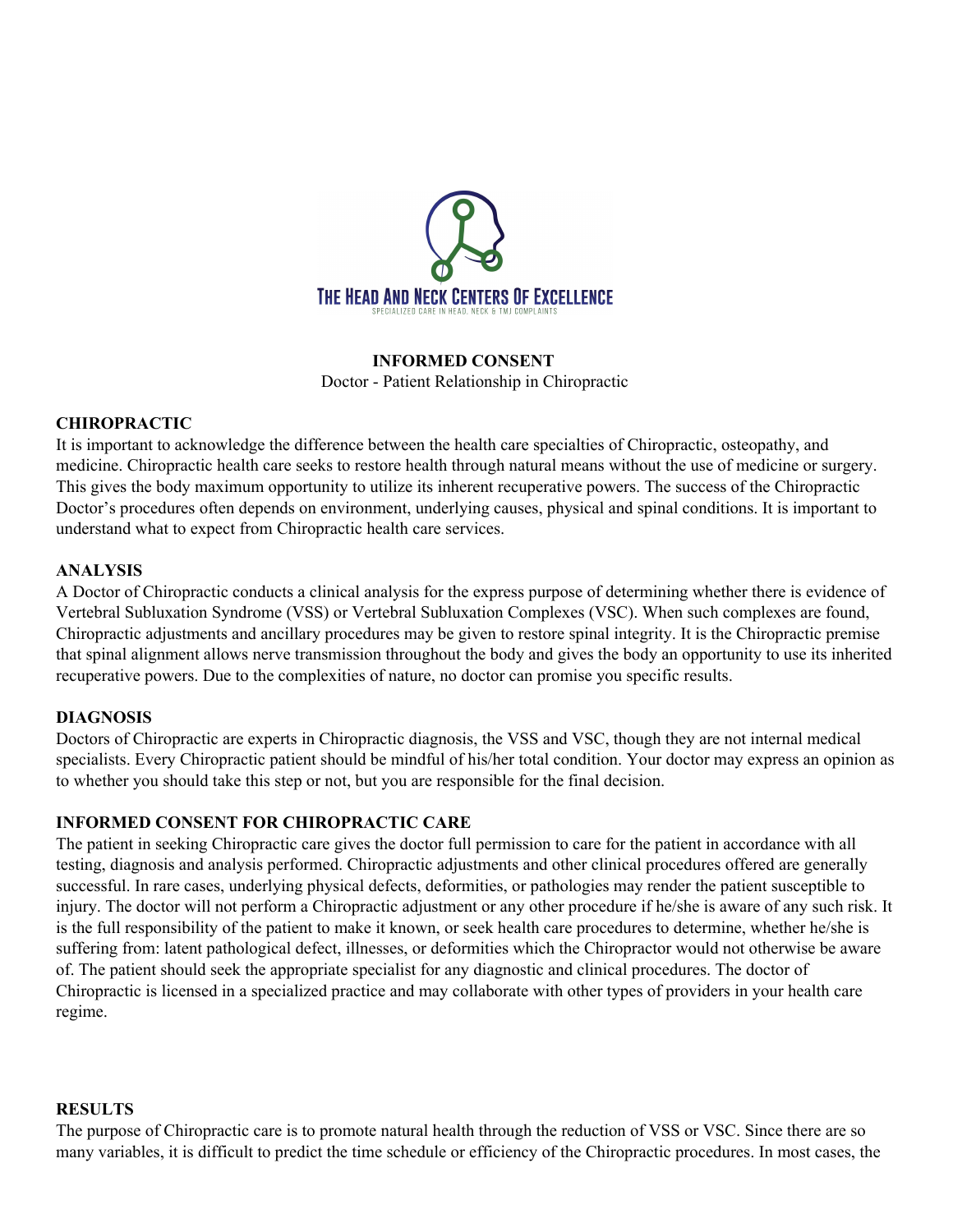

### **INFORMED CONSENT**

Doctor - Patient Relationship in Chiropractic

### **CHIROPRACTIC**

It is important to acknowledge the difference between the health care specialties of Chiropractic, osteopathy, and medicine. Chiropractic health care seeks to restore health through natural means without the use of medicine or surgery. This gives the body maximum opportunity to utilize its inherent recuperative powers. The success of the Chiropractic Doctor's procedures often depends on environment, underlying causes, physical and spinal conditions. It is important to understand what to expect from Chiropractic health care services.

### **ANALYSIS**

A Doctor of Chiropractic conducts a clinical analysis for the express purpose of determining whether there is evidence of Vertebral Subluxation Syndrome (VSS) or Vertebral Subluxation Complexes (VSC). When such complexes are found, Chiropractic adjustments and ancillary procedures may be given to restore spinal integrity. It is the Chiropractic premise that spinal alignment allows nerve transmission throughout the body and gives the body an opportunity to use its inherited recuperative powers. Due to the complexities of nature, no doctor can promise you specific results.

### **DIAGNOSIS**

Doctors of Chiropractic are experts in Chiropractic diagnosis, the VSS and VSC, though they are not internal medical specialists. Every Chiropractic patient should be mindful of his/her total condition. Your doctor may express an opinion as to whether you should take this step or not, but you are responsible for the final decision.

### **INFORMED CONSENT FOR CHIROPRACTIC CARE**

The patient in seeking Chiropractic care gives the doctor full permission to care for the patient in accordance with all testing, diagnosis and analysis performed. Chiropractic adjustments and other clinical procedures offered are generally successful. In rare cases, underlying physical defects, deformities, or pathologies may render the patient susceptible to injury. The doctor will not perform a Chiropractic adjustment or any other procedure if he/she is aware of any such risk. It is the full responsibility of the patient to make it known, or seek health care procedures to determine, whether he/she is suffering from: latent pathological defect, illnesses, or deformities which the Chiropractor would not otherwise be aware of. The patient should seek the appropriate specialist for any diagnostic and clinical procedures. The doctor of Chiropractic is licensed in a specialized practice and may collaborate with other types of providers in your health care regime.

#### **RESULTS**

The purpose of Chiropractic care is to promote natural health through the reduction of VSS or VSC. Since there are so many variables, it is difficult to predict the time schedule or efficiency of the Chiropractic procedures. In most cases, the